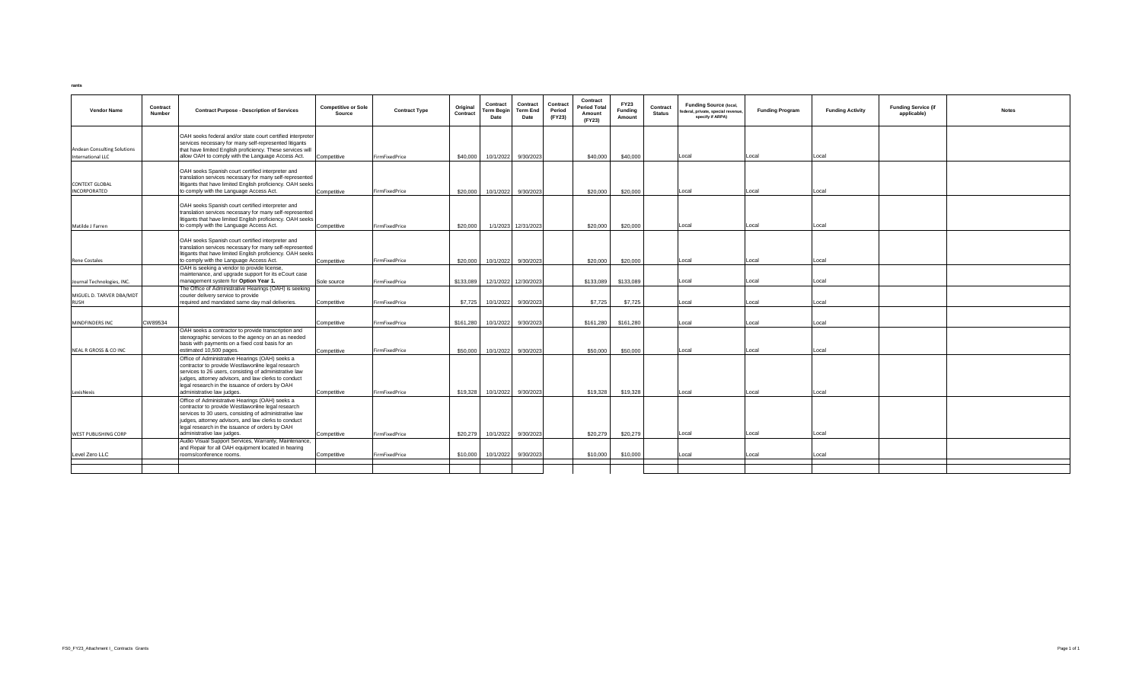rants

| Contract<br><b>Vendor Name</b><br>Number | <b>Contract Purpose - Description of Services</b>                                                                                                                                                                                                                                                        | <b>Competitive or Sole</b><br>Source | <b>Contract Type</b> | Original<br>Contract | Contract<br>Term Begin<br>Date | Contract<br>Term End<br>Date | Contract<br>Period<br>(FY23) | Contract<br><b>Period Total</b><br>Amount<br>(FY23) | <b>FY23</b><br><b>Fundina</b><br>Amount | Contract<br><b>Status</b> | <b>Funding Source (local,</b><br>federal, private, special revenue,<br>specify if ARPA) | <b>Funding Program</b> | <b>Funding Activity</b> | <b>Funding Service (if</b><br>applicable) | <b>Notes</b> |
|------------------------------------------|----------------------------------------------------------------------------------------------------------------------------------------------------------------------------------------------------------------------------------------------------------------------------------------------------------|--------------------------------------|----------------------|----------------------|--------------------------------|------------------------------|------------------------------|-----------------------------------------------------|-----------------------------------------|---------------------------|-----------------------------------------------------------------------------------------|------------------------|-------------------------|-------------------------------------------|--------------|
| <b>Andean Consulting Solutions</b>       | OAH seeks federal and/or state court certified interpreter<br>services necessary for many self-represented litigants<br>that have limited English proficiency. These services will                                                                                                                       |                                      |                      |                      |                                |                              |                              |                                                     |                                         |                           |                                                                                         |                        |                         |                                           |              |
| International LLC                        | allow OAH to comply with the Language Access Act.                                                                                                                                                                                                                                                        | Competitive                          | FirmFixedPrice       |                      | \$40,000 10/1/2022 9/30/2023   |                              |                              | \$40,000                                            | \$40,000                                |                           | Local                                                                                   | Local                  | Local                   |                                           |              |
| <b>CONTEXT GLOBAL</b><br>INCORPORATED    | OAH seeks Spanish court certified interpreter and<br>translation services necessary for many self-represented<br>litigants that have limited English proficiency. OAH seeks<br>to comply with the Language Access Act.                                                                                   | Competitive                          | FirmFixedPrice       | \$20,000             |                                | 10/1/2022 9/30/2023          |                              | \$20,000                                            | \$20,000                                |                           | Local                                                                                   | Local                  | Local                   |                                           |              |
| Matilde J Farren                         | OAH seeks Spanish court certified interpreter and<br>translation services necessary for many self-represented<br>litigants that have limited English proficiency. OAH seeks<br>to comply with the Language Access Act.                                                                                   | Competitive                          | FirmFixedPrice       | \$20,000             |                                | 1/1/2023 12/31/2023          |                              | \$20,000                                            | \$20,000                                |                           | Local                                                                                   | Local                  | Local                   |                                           |              |
|                                          | OAH seeks Spanish court certified interpreter and<br>translation services necessary for many self-represented<br>litigants that have limited English proficiency. OAH seeks                                                                                                                              |                                      |                      |                      |                                |                              |                              |                                                     |                                         |                           |                                                                                         |                        |                         |                                           |              |
| <b>Rene Costales</b>                     | to comply with the Language Access Act.                                                                                                                                                                                                                                                                  | Competitive                          | FirmFixedPrice       | \$20,000             | 10/1/2022                      | 9/30/2023                    |                              | \$20,000                                            | \$20,000                                |                           | Local                                                                                   | Local                  | Local                   |                                           |              |
| Journal Technologies, INC.               | OAH is seeking a vendor to provide license,<br>maintenance, and upgrade support for its eCourt case<br>management system for Option Year 1.                                                                                                                                                              | Sole source                          | FirmFixedPrice       | \$133,089            |                                | 12/1/2022 12/30/2023         |                              | \$133,089                                           | \$133,089                               |                           | Local                                                                                   | Local                  | Local                   |                                           |              |
|                                          | The Office of Administrative Hearings (OAH) is seeking                                                                                                                                                                                                                                                   |                                      |                      |                      |                                |                              |                              |                                                     |                                         |                           |                                                                                         |                        |                         |                                           |              |
| MIGUEL D. TARVER DBA/MDT                 | courier delivery service to provide<br>required and mandated same day mail deliveries.                                                                                                                                                                                                                   |                                      |                      |                      |                                |                              |                              |                                                     |                                         |                           |                                                                                         |                        |                         |                                           |              |
| <b>RUSH</b>                              |                                                                                                                                                                                                                                                                                                          | Competitive                          | FirmFixedPrice       | \$7,725              |                                | 10/1/2022 9/30/2023          |                              | \$7,725                                             | \$7,725                                 |                           | Local                                                                                   | Local                  | Local                   |                                           |              |
| CW89534<br>MINDFINDERS INC               |                                                                                                                                                                                                                                                                                                          | Competitive                          | FirmFixedPrice       | \$161.280            | 10/1/2022                      | 9/30/2023                    |                              | \$161,280                                           | \$161,280                               |                           | Local                                                                                   | Local                  | Local                   |                                           |              |
|                                          | OAH seeks a contractor to provide transcription and<br>stenographic services to the agency on an as needed<br>basis with payments on a fixed cost basis for an                                                                                                                                           |                                      |                      |                      |                                |                              |                              |                                                     |                                         |                           | Local                                                                                   | Local                  |                         |                                           |              |
| NEAL R GROSS & CO INC                    | estimated 10,500 pages.<br>Office of Administrative Hearings (OAH) seeks a<br>contractor to provide Westlawonline legal research<br>services to 26 users, consisting of administrative law<br>judges, attorney advisors, and law clerks to conduct<br>legal research in the issuance of orders by OAH    | Competitive                          | FirmFixedPrice       | \$50,000             | 10/1/2022                      | 9/30/2023                    |                              | \$50,000                                            | \$50,000                                |                           |                                                                                         |                        | Local                   |                                           |              |
| LexisNexis                               | administrative law judges.                                                                                                                                                                                                                                                                               | Competitive                          | FirmFixedPrice       | \$19,328             |                                | 10/1/2022 9/30/2023          |                              | \$19,328                                            | \$19,328                                |                           | Local                                                                                   | Local                  | Local                   |                                           |              |
| <b>WEST PUBLISHING CORP</b>              | Office of Administrative Hearings (OAH) seeks a<br>contractor to provide Westlawonline legal research<br>services to 30 users, consisting of administrative law<br>judges, attorney advisors, and law clerks to conduct<br>legal research in the issuance of orders by OAH<br>administrative law judges. | Competitive                          | FirmFixedPrice       |                      | \$20,279 10/1/2022 9/30/2023   |                              |                              | \$20,279                                            | \$20,279                                |                           | Local                                                                                   | Local                  | Local                   |                                           |              |
|                                          | Audio Visual Support Services, Warranty, Maintenance,                                                                                                                                                                                                                                                    |                                      |                      |                      |                                |                              |                              |                                                     |                                         |                           |                                                                                         |                        |                         |                                           |              |
| Level Zero LLC                           | and Repair for all OAH equipment located in hearing<br>rooms/conference rooms.                                                                                                                                                                                                                           | Competitive                          | FirmFixedPrice       | \$10,000             |                                | 10/1/2022 9/30/2023          |                              | \$10,000                                            | \$10,000                                |                           | Local                                                                                   | Local                  | Local                   |                                           |              |
|                                          |                                                                                                                                                                                                                                                                                                          |                                      |                      |                      |                                |                              |                              |                                                     |                                         |                           |                                                                                         |                        |                         |                                           |              |
|                                          |                                                                                                                                                                                                                                                                                                          |                                      |                      |                      |                                |                              |                              |                                                     |                                         |                           |                                                                                         |                        |                         |                                           |              |